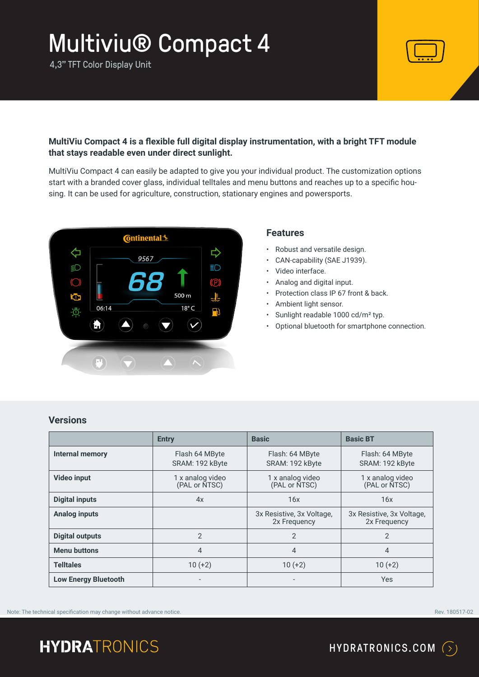4,3" TFT Color Display Unit



#### **MultiViu Compact 4 is a flexible full digital display instrumentation, with a bright TFT module that stays readable even under direct sunlight.**

MultiViu Compact 4 can easily be adapted to give you your individual product. The customization options start with a branded cover glass, individual telltales and menu buttons and reaches up to a specific housing. It can be used for agriculture, construction, stationary engines and powersports.



#### **Features**

- Robust and versatile design.
- CAN-capability (SAE J1939).
- Video interface.
- Analog and digital input.
- Protection class IP 67 front & back.
- Ambient light sensor.
- Sunlight readable 1000 cd/m² typ.
- Optional bluetooth for smartphone connection.

| <b>Versions</b> |  |
|-----------------|--|
|                 |  |
|                 |  |

|                             | <b>Entry</b>                      | <b>Basic</b>                              | <b>Basic BT</b>                           |
|-----------------------------|-----------------------------------|-------------------------------------------|-------------------------------------------|
| <b>Internal memory</b>      | Flash 64 MByte<br>SRAM: 192 kByte | Flash: 64 MByte<br>SRAM: 192 kByte        | Flash: 64 MByte<br>SRAM: 192 kByte        |
| <b>Video input</b>          | 1 x analog video<br>(PAL or NTSC) | 1 x analog video<br>(PAL or NTSC)         | 1 x analog video<br>(PAL or NTSC)         |
| <b>Digital inputs</b>       | 4x                                | 16x                                       | 16x                                       |
| <b>Analog inputs</b>        |                                   | 3x Resistive, 3x Voltage,<br>2x Frequency | 3x Resistive, 3x Voltage,<br>2x Frequency |
| <b>Digital outputs</b>      | $\mathfrak{D}$                    | $\mathcal{P}$                             | $\mathcal{P}$                             |
| <b>Menu buttons</b>         | $\overline{4}$                    | $\overline{4}$                            | $\overline{4}$                            |
| <b>Telltales</b>            | $10 (+2)$                         | $10 (+2)$                                 | $10 (+2)$                                 |
| <b>Low Energy Bluetooth</b> |                                   |                                           | Yes                                       |

Note: The technical specification may change without advance notice. The contract of the contract of the contract of the contract of the contract of the contract of the contract of the contract of the contract of the contr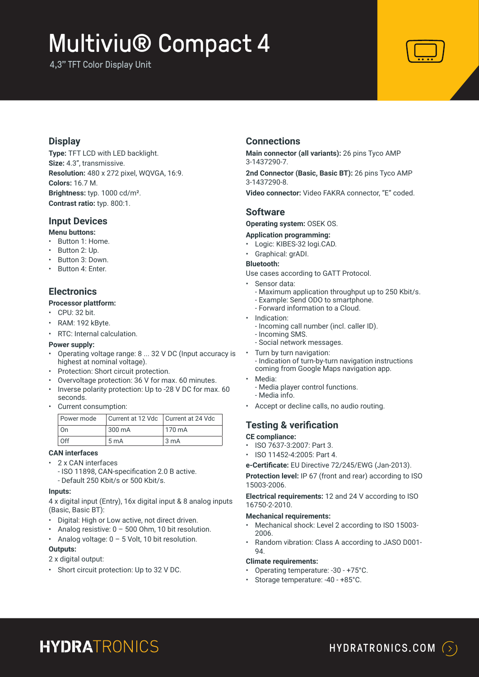4,3" TFT Color Display Unit



#### **Display**

**Type:** TFT LCD with LED backlight. **Size:** 4.3", transmissive. **Resolution:** 480 x 272 pixel, WQVGA, 16:9. **Colors:** 16.7 M. **Brightness:** typ. 1000 cd/m². **Contrast ratio:** typ. 800:1.

#### **Input Devices**

#### **Menu buttons:**

- Button 1: Home.
- Button 2: Up.
- Button 3: Down.
- Button 4: Enter.

#### **Electronics**

#### **Processor plattform:**

- CPU: 32 bit.
- RAM: 192 kByte.
- RTC: Internal calculation.

#### **Power supply:**

- Operating voltage range: 8 ... 32 V DC (Input accuracy is highest at nominal voltage).
- Protection: Short circuit protection.
- Overvoltage protection: 36 V for max. 60 minutes.
- Inverse polarity protection: Up to -28 V DC for max. 60 seconds.
- Current consumption:

| Power mode | Current at 12 Vdc   Current at 24 Vdc |        |
|------------|---------------------------------------|--------|
| l On       | 300 mA                                | 170 mA |
| Off        | 5 m A                                 | l 3 mA |

#### **CAN interfaces**

- 2 x CAN interfaces
	- ISO 11898, CAN-specification 2.0 B active. - Default 250 Kbit/s or 500 Kbit/s.

#### **Inputs:**

4 x digital input (Entry), 16x digital input & 8 analog inputs (Basic, Basic BT):

- Digital: High or Low active, not direct driven.
- Analog resistive: 0 500 Ohm, 10 bit resolution.
- Analog voltage:  $0 5$  Volt, 10 bit resolution.

#### **Outputs:**

- 2 x digital output:
- Short circuit protection: Up to 32 V DC.

#### **Connections**

**Main connector (all variants):** 26 pins Tyco AMP 3-1437290-7.

**2nd Connector (Basic, Basic BT):** 26 pins Tyco AMP 3-1437290-8.

**Video connector:** Video FAKRA connector, "E" coded.

#### **Software**

**Operating system:** OSEK OS.

#### **Application programming:**

- Logic: KIBES-32 logi.CAD.
- Graphical: grADI.
- **Bluetooth:**

Use cases according to GATT Protocol.

- Sensor data:
	- Maximum application throughput up to 250 Kbit/s.
	- Example: Send ODO to smartphone.
	- Forward information to a Cloud.
- Indication:
	- Incoming call number (incl. caller ID).
- Incoming SMS.
- Social network messages.
- Turn by turn navigation: - Indication of turn-by-turn navigation instructions coming from Google Maps navigation app.
- Media:
	- Media player control functions. - Media info.
- Accept or decline calls, no audio routing.

#### **Testing & verification**

#### **CE compliance:**

- ISO 7637-3:2007: Part 3.
- ISO 11452-4:2005: Part 4.

**e-Certificate:** EU Directive 72/245/EWG (Jan-2013).

**Protection level:** IP 67 (front and rear) according to ISO 15003-2006.

**Electrical requirements:** 12 and 24 V according to ISO 16750-2-2010.

#### **Mechanical requirements:**

- Mechanical shock: Level 2 according to ISO 15003- 2006.
- Random vibration: Class A according to JASO D001- 94.

#### **Climate requirements:**

- Operating temperature: -30 +75°C.
- Storage temperature: -40 +85°C.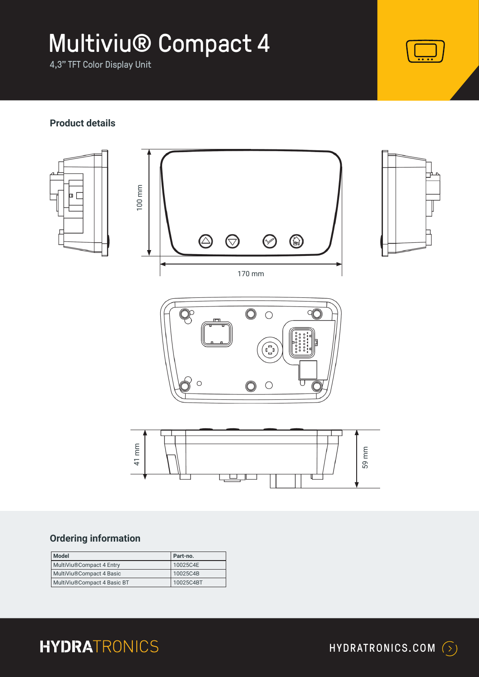4,3" TFT Color Display Unit

#### **Product details**



### **Ordering information**

| Model                       | Part-no.  |
|-----------------------------|-----------|
| MultiViu®Compact 4 Entry    | 10025C4E  |
| MultiViu®Compact 4 Basic    | 10025C4B  |
| MultiViu®Compact 4 Basic BT | 10025C4BT |